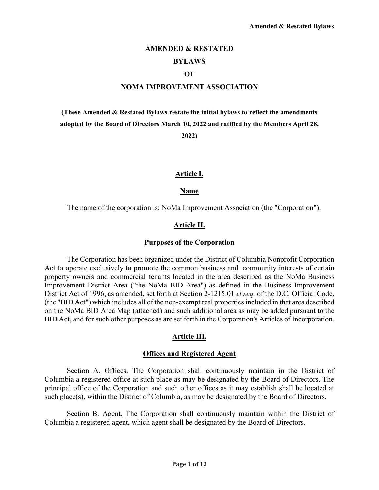# **AMENDED & RESTATED**

# **BYLAWS**

#### **OF**

#### **NOMA IMPROVEMENT ASSOCIATION**

**(These Amended & Restated Bylaws restate the initial bylaws to reflect the amendments adopted by the Board of Directors March 10, 2022 and ratified by the Members April 28,** 

**2022)** 

### **Article I.**

#### **Name**

The name of the corporation is: NoMa Improvement Association (the "Corporation").

#### **Article II.**

#### **Purposes of the Corporation**

The Corporation has been organized under the District of Columbia Nonprofit Corporation Act to operate exclusively to promote the common business and community interests of certain property owners and commercial tenants located in the area described as the NoMa Business Improvement District Area ("the NoMa BID Area") as defined in the Business Improvement District Act of 1996, as amended, set forth at Section 2-1215.01 *et seq.* of the D.C. Official Code, (the "BID Act") which includes all of the non-exempt real properties included in that area described on the NoMa BID Area Map (attached) and such additional area as may be added pursuant to the BID Act, and for such other purposes as are set forth in the Corporation's Articles of Incorporation.

### **Article III.**

#### **Offices and Registered Agent**

Section A. Offices. The Corporation shall continuously maintain in the District of Columbia a registered office at such place as may be designated by the Board of Directors. The principal office of the Corporation and such other offices as it may establish shall be located at such place(s), within the District of Columbia, as may be designated by the Board of Directors.

Section B. Agent. The Corporation shall continuously maintain within the District of Columbia a registered agent, which agent shall be designated by the Board of Directors.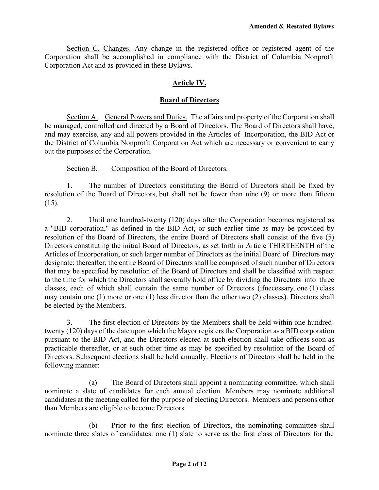Section C. Changes. Any change in the registered office or registered agent of the Corporation shall be accomplished in compliance with the District of Columbia Nonprofit Corporation Act and as provided in these Bylaws.

# **Article IV.**

# **Board of Directors**

Section A. General Powers and Duties. The affairs and property of the Corporation shall be managed, controlled and directed by a Board of Directors. The Board of Directors shall have, and may exercise, any and all powers provided in the Articles of Incorporation, the BID Act or the District of Columbia Nonprofit Corporation Act which are necessary or convenient to carry out the purposes of the Corporation.

# Section B. Composition of the Board of Directors.

1. The number of Directors constituting the Board of Directors shall be fixed by resolution of the Board of Directors, but shall not be fewer than nine (9) or more than fifteen  $(15)$ .

2. Until one hundred-twenty (120) days after the Corporation becomes registered as a "BID corporation," as defined in the BID Act, or such earlier time as may be provided by resolution of the Board of Directors, the entire Board of Directors shall consist of the five (5) Directors constituting the initial Board of Directors, as set forth in Article THIRTEENTH of the Articles of Incorporation, or such larger number of Directors as the initial Board of Directors may designate; thereafter, the entire Board of Directors shall be comprised of such number of Directors that may be specified by resolution of the Board of Directors and shall be classified with respect to the time for which the Directors shall severally hold office by dividing the Directors into three classes, each of which shall contain the same number of Directors (ifnecessary, one (1) class may contain one (1) more or one (1) less director than the other two (2) classes). Directors shall be elected by the Members.

3. The first election of Directors by the Members shall be held within one hundredtwenty (120) days of the date upon which the Mayor registers the Corporation as a BID corporation pursuant to the BID Act, and the Directors elected at such election shall take officeas soon as practicable thereafter, or at such other time as may be specified by resolution of the Board of Directors. Subsequent elections shall be held annually. Elections of Directors shall be held in the following manner:

(a) The Board of Directors shall appoint a nominating committee, which shall nominate a slate of candidates for each annual election. Members may nominate additional candidates at the meeting called for the purpose of electing Directors. Members and persons other than Members are eligible to become Directors.

(b) Prior to the first election of Directors, the nominating committee shall nominate three slates of candidates: one (1) slate to serve as the first class of Directors for the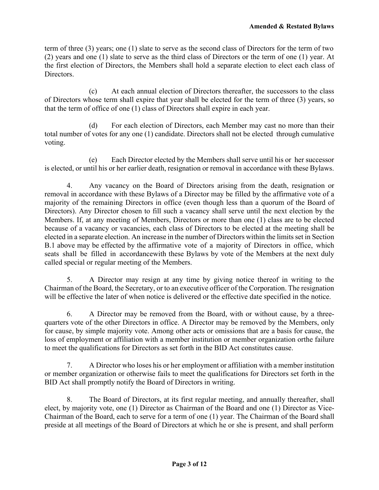term of three (3) years; one (1) slate to serve as the second class of Directors for the term of two (2) years and one (1) slate to serve as the third class of Directors or the term of one (1) year. At the first election of Directors, the Members shall hold a separate election to elect each class of Directors.

(c) At each annual election of Directors thereafter, the successors to the class of Directors whose term shall expire that year shall be elected for the term of three (3) years, so that the term of office of one (1) class of Directors shall expire in each year.

(d) For each election of Directors, each Member may cast no more than their total number of votes for any one (1) candidate. Directors shall not be elected through cumulative voting.

(e) Each Director elected by the Members shall serve until his or her successor is elected, or until his or her earlier death, resignation or removal in accordance with these Bylaws.

4. Any vacancy on the Board of Directors arising from the death, resignation or removal in accordance with these Bylaws of a Director may be filled by the affirmative vote of a majority of the remaining Directors in office (even though less than a quorum of the Board of Directors). Any Director chosen to fill such a vacancy shall serve until the next election by the Members. If, at any meeting of Members, Directors or more than one (1) class are to be elected because of a vacancy or vacancies, each class of Directors to be elected at the meeting shall be elected in a separate election. An increase in the number of Directors within the limits set in Section B.1 above may be effected by the affirmative vote of a majority of Directors in office, which seats shall be filled in accordancewith these Bylaws by vote of the Members at the next duly called special or regular meeting of the Members.

5. A Director may resign at any time by giving notice thereof in writing to the Chairman of the Board, the Secretary, or to an executive officer of the Corporation. The resignation will be effective the later of when notice is delivered or the effective date specified in the notice.

6. A Director may be removed from the Board, with or without cause, by a threequarters vote of the other Directors in office. A Director may be removed by the Members, only for cause, by simple majority vote. Among other acts or omissions that are a basis for cause, the loss of employment or affiliation with a member institution or member organization orthe failure to meet the qualifications for Directors as set forth in the BID Act constitutes cause.

7. A Director who loses his or her employment or affiliation with a member institution or member organization or otherwise fails to meet the qualifications for Directors set forth in the BID Act shall promptly notify the Board of Directors in writing.

8. The Board of Directors, at its first regular meeting, and annually thereafter, shall elect, by majority vote, one (1) Director as Chairman of the Board and one (1) Director as Vice-Chairman of the Board, each to serve for a term of one (1) year. The Chairman of the Board shall preside at all meetings of the Board of Directors at which he or she is present, and shall perform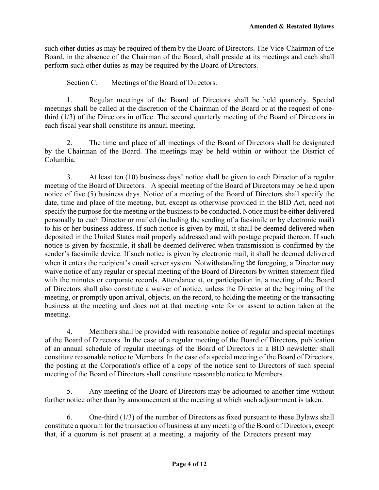such other duties as may be required of them by the Board of Directors. The Vice-Chairman of the Board, in the absence of the Chairman of the Board, shall preside at its meetings and each shall perform such other duties as may be required by the Board of Directors.

## Section C. Meetings of the Board of Directors.

1. Regular meetings of the Board of Directors shall be held quarterly. Special meetings shall be called at the discretion of the Chairman of the Board or at the request of onethird (1/3) of the Directors in office. The second quarterly meeting of the Board of Directors in each fiscal year shall constitute its annual meeting.

2. The time and place of all meetings of the Board of Directors shall be designated by the Chairman of the Board. The meetings may be held within or without the District of Columbia.

3. At least ten (10) business days' notice shall be given to each Director of a regular meeting of the Board of Directors. A special meeting of the Board of Directors may be held upon notice of five (5) business days. Notice of a meeting of the Board of Directors shall specify the date, time and place of the meeting, but, except as otherwise provided in the BID Act, need not specify the purpose for the meeting or the business to be conducted. Notice must be either delivered personally to each Director or mailed (including the sending of a facsimile or by electronic mail) to his or her business address. If such notice is given by mail, it shall be deemed delivered when deposited in the United States mail properly addressed and with postage prepaid thereon. If such notice is given by facsimile, it shall be deemed delivered when transmission is confirmed by the sender's facsimile device. If such notice is given by electronic mail, it shall be deemed delivered when it enters the recipient's email server system. Notwithstanding the foregoing, a Director may waive notice of any regular or special meeting of the Board of Directors by written statement filed with the minutes or corporate records. Attendance at, or participation in, a meeting of the Board of Directors shall also constitute a waiver of notice, unless the Director at the beginning of the meeting, or promptly upon arrival, objects, on the record, to holding the meeting or the transacting business at the meeting and does not at that meeting vote for or assent to action taken at the meeting.

4. Members shall be provided with reasonable notice of regular and special meetings of the Board of Directors. In the case of a regular meeting of the Board of Directors, publication of an annual schedule of regular meetings of the Board of Directors in a BID newsletter shall constitute reasonable notice to Members. In the case of a special meeting of the Board of Directors, the posting at the Corporation's office of a copy of the notice sent to Directors of such special meeting of the Board of Directors shall constitute reasonable notice to Members.

5. Any meeting of the Board of Directors may be adjourned to another time without further notice other than by announcement at the meeting at which such adjournment is taken.

6. One-third (1/3) of the number of Directors as fixed pursuant to these Bylaws shall constitute a quorum for the transaction of business at any meeting of the Board of Directors, except that, if a quorum is not present at a meeting, a majority of the Directors present may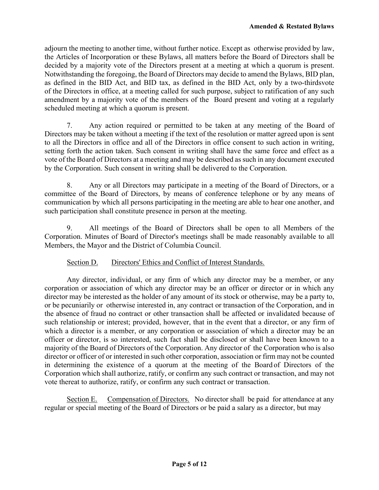adjourn the meeting to another time, without further notice. Except as otherwise provided by law, the Articles of Incorporation or these Bylaws, all matters before the Board of Directors shall be decided by a majority vote of the Directors present at a meeting at which a quorum is present. Notwithstanding the foregoing, the Board of Directors may decide to amend the Bylaws, BID plan, as defined in the BID Act, and BID tax, as defined in the BID Act, only by a two-thirds vote of the Directors in office, at a meeting called for such purpose, subject to ratification of any such amendment by a majority vote of the members of the Board present and voting at a regularly scheduled meeting at which a quorum is present.

7. Any action required or permitted to be taken at any meeting of the Board of Directors may be taken without a meeting if the text of the resolution or matter agreed upon is sent to all the Directors in office and all of the Directors in office consent to such action in writing, setting forth the action taken. Such consent in writing shall have the same force and effect as a vote of the Board of Directors at a meeting and may be described as such in any document executed by the Corporation. Such consent in writing shall be delivered to the Corporation.

8. Any or all Directors may participate in a meeting of the Board of Directors, or a committee of the Board of Directors, by means of conference telephone or by any means of communication by which all persons participating in the meeting are able to hear one another, and such participation shall constitute presence in person at the meeting.

9. All meetings of the Board of Directors shall be open to all Members of the Corporation. Minutes of Board of Director's meetings shall be made reasonably available to all Members, the Mayor and the District of Columbia Council.

# Section D. Directors' Ethics and Conflict of Interest Standards.

Any director, individual, or any firm of which any director may be a member, or any corporation or association of which any director may be an officer or director or in which any director may be interested as the holder of any amount of its stock or otherwise, may be a party to, or be pecuniarily or otherwise interested in, any contract or transaction of the Corporation, and in the absence of fraud no contract or other transaction shall be affected or invalidated because of such relationship or interest; provided, however, that in the event that a director, or any firm of which a director is a member, or any corporation or association of which a director may be an officer or director, is so interested, such fact shall be disclosed or shall have been known to a majority of the Board of Directors of the Corporation. Any director of the Corporation who is also director or officer of or interested in such other corporation, association or firm may not be counted in determining the existence of a quorum at the meeting of the Board of Directors of the Corporation which shall authorize, ratify, or confirm any such contract or transaction, and may not vote thereat to authorize, ratify, or confirm any such contract or transaction.

Section E. Compensation of Directors. No director shall be paid for attendance at any regular or special meeting of the Board of Directors or be paid a salary as a director, but may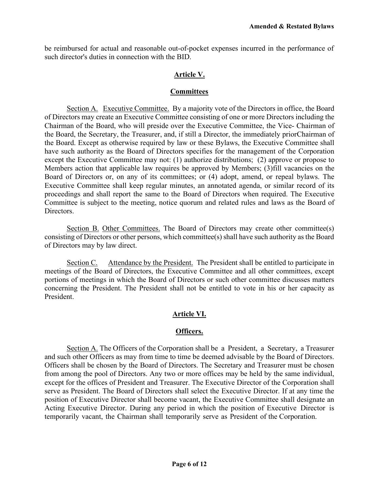be reimbursed for actual and reasonable out-of-pocket expenses incurred in the performance of such director's duties in connection with the BID.

## **Article V.**

#### **Committees**

Section A. Executive Committee. By a majority vote of the Directors in office, the Board of Directors may create an Executive Committee consisting of one or more Directors including the Chairman of the Board, who will preside over the Executive Committee, the Vice- Chairman of the Board, the Secretary, the Treasurer, and, if still a Director, the immediately priorChairman of the Board. Except as otherwise required by law or these Bylaws, the Executive Committee shall have such authority as the Board of Directors specifies for the management of the Corporation except the Executive Committee may not: (1) authorize distributions; (2) approve or propose to Members action that applicable law requires be approved by Members; (3)fill vacancies on the Board of Directors or, on any of its committees; or (4) adopt, amend, or repeal bylaws. The Executive Committee shall keep regular minutes, an annotated agenda, or similar record of its proceedings and shall report the same to the Board of Directors when required. The Executive Committee is subject to the meeting, notice quorum and related rules and laws as the Board of Directors.

Section B. Other Committees. The Board of Directors may create other committee(s) consisting of Directors or other persons, which committee(s) shall have such authority as the Board of Directors may by law direct.

Section C. Attendance by the President. The President shall be entitled to participate in meetings of the Board of Directors, the Executive Committee and all other committees, except portions of meetings in which the Board of Directors or such other committee discusses matters concerning the President. The President shall not be entitled to vote in his or her capacity as President.

# **Article VI.**

### **Officers.**

Section A. The Officers of the Corporation shall be a President, a Secretary, a Treasurer and such other Officers as may from time to time be deemed advisable by the Board of Directors. Officers shall be chosen by the Board of Directors. The Secretary and Treasurer must be chosen from among the pool of Directors. Any two or more offices may be held by the same individual, except for the offices of President and Treasurer. The Executive Director of the Corporation shall serve as President. The Board of Directors shall select the Executive Director. If at any time the position of Executive Director shall become vacant, the Executive Committee shall designate an Acting Executive Director. During any period in which the position of Executive Director is temporarily vacant, the Chairman shall temporarily serve as President of the Corporation.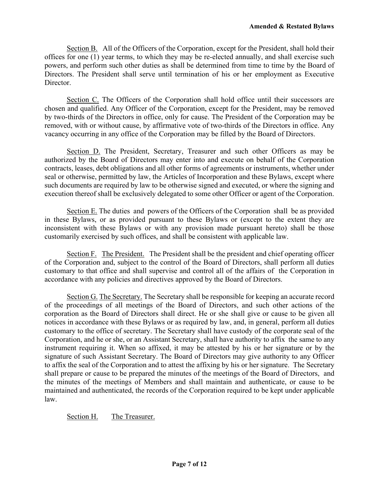Section B. All of the Officers of the Corporation, except for the President, shall hold their offices for one (1) year terms, to which they may be re-elected annually, and shall exercise such powers, and perform such other duties as shall be determined from time to time by the Board of Directors. The President shall serve until termination of his or her employment as Executive Director.

Section C. The Officers of the Corporation shall hold office until their successors are chosen and qualified. Any Officer of the Corporation, except for the President, may be removed by two-thirds of the Directors in office, only for cause. The President of the Corporation may be removed, with or without cause, by affirmative vote of two-thirds of the Directors in office. Any vacancy occurring in any office of the Corporation may be filled by the Board of Directors.

Section D. The President, Secretary, Treasurer and such other Officers as may be authorized by the Board of Directors may enter into and execute on behalf of the Corporation contracts, leases, debt obligations and all other forms of agreements or instruments, whether under seal or otherwise, permitted by law, the Articles of Incorporation and these Bylaws, except where such documents are required by law to be otherwise signed and executed, or where the signing and execution thereof shall be exclusively delegated to some other Officer or agent of the Corporation.

Section E. The duties and powers of the Officers of the Corporation shall be as provided in these Bylaws, or as provided pursuant to these Bylaws or (except to the extent they are inconsistent with these Bylaws or with any provision made pursuant hereto) shall be those customarily exercised by such offices, and shall be consistent with applicable law.

Section F. The President. The President shall be the president and chief operating officer of the Corporation and, subject to the control of the Board of Directors, shall perform all duties customary to that office and shall supervise and control all of the affairs of the Corporation in accordance with any policies and directives approved by the Board of Directors.

Section G. The Secretary. The Secretary shall be responsible for keeping an accurate record of the proceedings of all meetings of the Board of Directors, and such other actions of the corporation as the Board of Directors shall direct. He or she shall give or cause to be given all notices in accordance with these Bylaws or as required by law, and, in general, perform all duties customary to the office of secretary. The Secretary shall have custody of the corporate seal of the Corporation, and he or she, or an Assistant Secretary, shall have authority to affix the same to any instrument requiring it. When so affixed, it may be attested by his or her signature or by the signature of such Assistant Secretary. The Board of Directors may give authority to any Officer to affix the seal of the Corporation and to attest the affixing by his or her signature. The Secretary shall prepare or cause to be prepared the minutes of the meetings of the Board of Directors, and the minutes of the meetings of Members and shall maintain and authenticate, or cause to be maintained and authenticated, the records of the Corporation required to be kept under applicable law.

Section H. The Treasurer.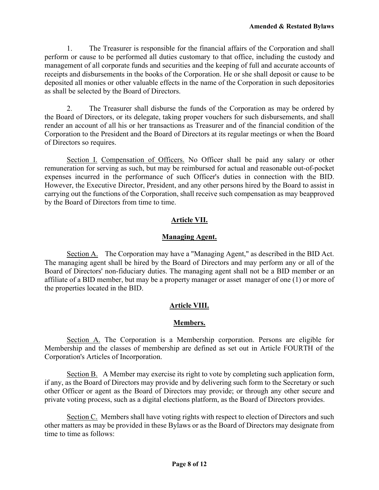1. The Treasurer is responsible for the financial affairs of the Corporation and shall perform or cause to be performed all duties customary to that office, including the custody and management of all corporate funds and securities and the keeping of full and accurate accounts of receipts and disbursements in the books of the Corporation. He or she shall deposit or cause to be deposited all monies or other valuable effects in the name of the Corporation in such depositories as shall be selected by the Board of Directors.

2. The Treasurer shall disburse the funds of the Corporation as may be ordered by the Board of Directors, or its delegate, taking proper vouchers for such disbursements, and shall render an account of all his or her transactions as Treasurer and of the financial condition of the Corporation to the President and the Board of Directors at its regular meetings or when the Board of Directors so requires.

Section I. Compensation of Officers. No Officer shall be paid any salary or other remuneration for serving as such, but may be reimbursed for actual and reasonable out-of-pocket expenses incurred in the performance of such Officer's duties in connection with the BID. However, the Executive Director, President, and any other persons hired by the Board to assist in carrying out the functions of the Corporation, shall receive such compensation as may be approved by the Board of Directors from time to time.

# **Article VII.**

## **Managing Agent.**

Section A. The Corporation may have a "Managing Agent," as described in the BID Act. The managing agent shall be hired by the Board of Directors and may perform any or all of the Board of Directors' non-fiduciary duties. The managing agent shall not be a BID member or an affiliate of a BID member, but may be a property manager or asset manager of one (1) or more of the properties located in the BID.

# **Article VIII.**

### **Members.**

Section A. The Corporation is a Membership corporation. Persons are eligible for Membership and the classes of membership are defined as set out in Article FOURTH of the Corporation's Articles of Incorporation.

Section B. A Member may exercise its right to vote by completing such application form, if any, as the Board of Directors may provide and by delivering such form to the Secretary or such other Officer or agent as the Board of Directors may provide; or through any other secure and private voting process, such as a digital elections platform, as the Board of Directors provides.

Section C. Members shall have voting rights with respect to election of Directors and such other matters as may be provided in these Bylaws or as the Board of Directors may designate from time to time as follows: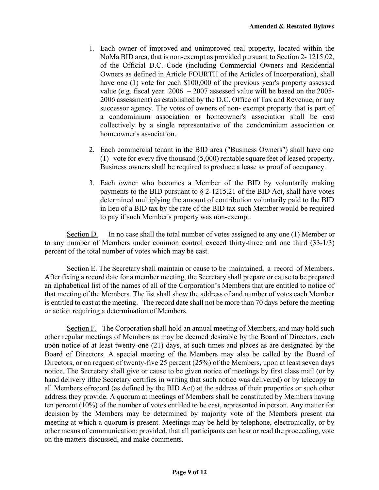- 1. Each owner of improved and unimproved real property, located within the NoMa BID area, that is non-exempt as provided pursuant to Section 2- 1215.02, of the Official D.C. Code (including Commercial Owners and Residential Owners as defined in Article FOURTH of the Articles of Incorporation), shall have one (1) vote for each \$100,000 of the previous year's property assessed value (e.g. fiscal year 2006 – 2007 assessed value will be based on the 2005- 2006 assessment) as established by the D.C. Office of Tax and Revenue, or any successor agency. The votes of owners of non- exempt property that is part of a condominium association or homeowner's association shall be cast collectively by a single representative of the condominium association or homeowner's association.
- 2. Each commercial tenant in the BID area ("Business Owners") shall have one (1) vote for every five thousand (5,000) rentable square feet of leased property. Business owners shall be required to produce a lease as proof of occupancy.
- 3. Each owner who becomes a Member of the BID by voluntarily making payments to the BID pursuant to  $\S$  2-1215.21 of the BID Act, shall have votes determined multiplying the amount of contribution voluntarily paid to the BID in lieu of a BID tax by the rate of the BID tax such Member would be required to pay if such Member's property was non-exempt.

Section D. In no case shall the total number of votes assigned to any one (1) Member or to any number of Members under common control exceed thirty-three and one third (33-1/3) percent of the total number of votes which may be cast.

Section E. The Secretary shall maintain or cause to be maintained, a record of Members. After fixing a record date for a member meeting, the Secretary shall prepare or cause to be prepared an alphabetical list of the names of all of the Corporation's Members that are entitled to notice of that meeting of the Members. The list shall show the address of and number of votes each Member is entitled to cast at the meeting. The record date shall not be more than 70 days before the meeting or action requiring a determination of Members.

Section F. The Corporation shall hold an annual meeting of Members, and may hold such other regular meetings of Members as may be deemed desirable by the Board of Directors, each upon notice of at least twenty-one (21) days, at such times and places as are designated by the Board of Directors. A special meeting of the Members may also be called by the Board of Directors, or on request of twenty-five 25 percent (25%) of the Members, upon at least seven days notice. The Secretary shall give or cause to be given notice of meetings by first class mail (or by hand delivery ifthe Secretary certifies in writing that such notice was delivered) or by telecopy to all Members ofrecord (as defined by the BID Act) at the address of their properties or such other address they provide. A quorum at meetings of Members shall be constituted by Members having ten percent (10%) of the number of votes entitled to be cast, represented in person. Any matter for decision by the Members may be determined by majority vote of the Members present ata meeting at which a quorum is present. Meetings may be held by telephone, electronically, or by other means of communication; provided, that all participants can hear or read the proceeding, vote on the matters discussed, and make comments.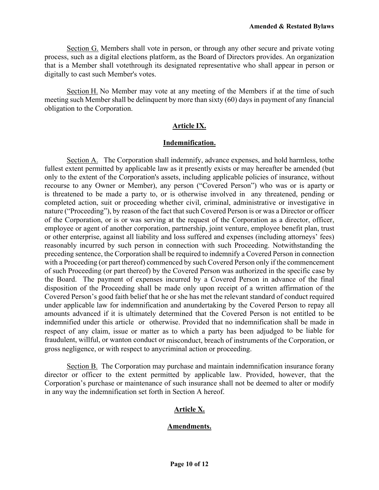Section G. Members shall vote in person, or through any other secure and private voting process, such as a digital elections platform, as the Board of Directors provides. An organization that is a Member shall vote through its designated representative who shall appear in person or digitally to cast such Member's votes.

Section H. No Member may vote at any meeting of the Members if at the time of such meeting such Member shall be delinquent by more than sixty (60) days in payment of any financial obligation to the Corporation.

## **Article IX.**

#### **Indemnification.**

Section A. The Corporation shall indemnify, advance expenses, and hold harmless, to the fullest extent permitted by applicable law as it presently exists or may hereafter be amended (but only to the extent of the Corporation's assets, including applicable policies of insurance, without recourse to any Owner or Member), any person ("Covered Person") who was or is aparty or is threatened to be made a party to, or is otherwise involved in any threatened, pending or completed action, suit or proceeding whether civil, criminal, administrative or investigative in nature ("Proceeding"), by reason of the fact that such Covered Person is or was a Director or officer of the Corporation, or is or was serving at the request of the Corporation as a director, officer, employee or agent of another corporation, partnership, joint venture, employee benefit plan, trust or other enterprise, against all liability and loss suffered and expenses (including attorneys' fees) reasonably incurred by such person in connection with such Proceeding. Notwithstanding the preceding sentence, the Corporation shall be required to indemnify a Covered Person in connection with a Proceeding (or part thereof) commenced by such Covered Person only if the commencement of such Proceeding (or part thereof) by the Covered Person was authorized in the specific case by the Board. The payment of expenses incurred by a Covered Person in advance of the final disposition of the Proceeding shall be made only upon receipt of a written affirmation of the Covered Person's good faith belief that he or she has met the relevant standard of conduct required under applicable law for indemnification and anundertaking by the Covered Person to repay all amounts advanced if it is ultimately determined that the Covered Person is not entitled to be indemnified under this article or otherwise. Provided that no indemnification shall be made in respect of any claim, issue or matter as to which a party has been adjudged to be liable for fraudulent, willful, or wanton conduct or misconduct, breach of instruments of the Corporation, or gross negligence, or with respect to any criminal action or proceeding.

Section B. The Corporation may purchase and maintain indemnification insurance for any director or officer to the extent permitted by applicable law. Provided, however, that the Corporation's purchase or maintenance of such insurance shall not be deemed to alter or modify in any way the indemnification set forth in Section A hereof.

### **Article X.**

### **Amendments.**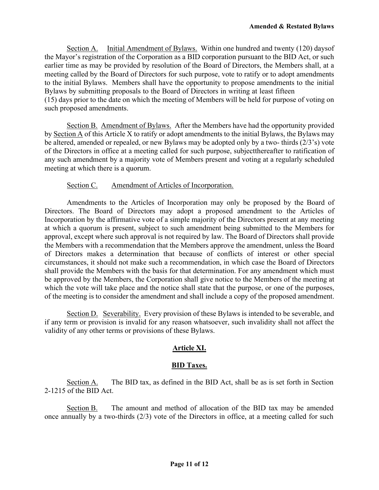Section A. Initial Amendment of Bylaws. Within one hundred and twenty (120) days of the Mayor's registration of the Corporation as a BID corporation pursuant to the BID Act, or such earlier time as may be provided by resolution of the Board of Directors, the Members shall, at a meeting called by the Board of Directors for such purpose, vote to ratify or to adopt amendments to the initial Bylaws. Members shall have the opportunity to propose amendments to the initial Bylaws by submitting proposals to the Board of Directors in writing at least fifteen (15) days prior to the date on which the meeting of Members will be held for purpose of voting on

such proposed amendments.

Section B. Amendment of Bylaws. After the Members have had the opportunity provided by Section A of this Article X to ratify or adopt amendments to the initial Bylaws, the Bylaws may be altered, amended or repealed, or new Bylaws may be adopted only by a two- thirds (2/3's) vote of the Directors in office at a meeting called for such purpose, subject thereafter to ratification of any such amendment by a majority vote of Members present and voting at a regularly scheduled meeting at which there is a quorum.

## Section C. Amendment of Articles of Incorporation.

Amendments to the Articles of Incorporation may only be proposed by the Board of Directors. The Board of Directors may adopt a proposed amendment to the Articles of Incorporation by the affirmative vote of a simple majority of the Directors present at any meeting at which a quorum is present, subject to such amendment being submitted to the Members for approval, except where such approval is not required by law. The Board of Directors shall provide the Members with a recommendation that the Members approve the amendment, unless the Board of Directors makes a determination that because of conflicts of interest or other special circumstances, it should not make such a recommendation, in which case the Board of Directors shall provide the Members with the basis for that determination. For any amendment which must be approved by the Members, the Corporation shall give notice to the Members of the meeting at which the vote will take place and the notice shall state that the purpose, or one of the purposes, of the meeting is to consider the amendment and shall include a copy of the proposed amendment.

Section D. Severability. Every provision of these Bylaws is intended to be severable, and if any term or provision is invalid for any reason whatsoever, such invalidity shall not affect the validity of any other terms or provisions of these Bylaws.

# **Article XI.**

# **BID Taxes.**

Section A. The BID tax, as defined in the BID Act, shall be as is set forth in Section 2-1215 of the BID Act.

Section B. The amount and method of allocation of the BID tax may be amended once annually by a two-thirds (2/3) vote of the Directors in office, at a meeting called for such